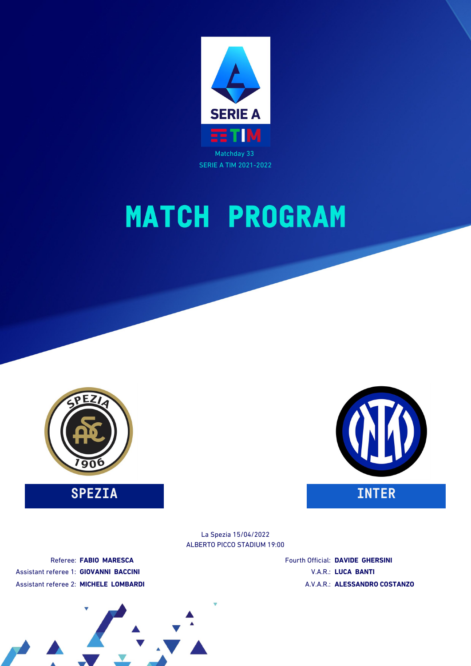

# **MATCH PROGRAM**



**SPEZIA INTER**



ALBERTO PICCO STADIUM 19:00 La Spezia 15/04/2022

Referee: **FABIO MARESCA** Assistant referee 1: **GIOVANNI BACCINI** Assistant referee 2: **MICHELE LOMBARDI** Fourth Official: **DAVIDE GHERSINI** V.A.R.: **LUCA BANTI** A.V.A.R.: **ALESSANDRO COSTANZO**

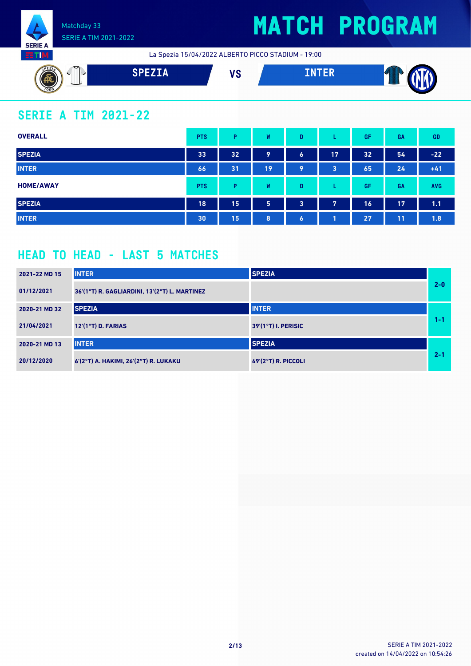

## **MATCH PROGRAM**

La Spezia 15/04/2022 ALBERTO PICCO STADIUM - 19:00



## **SERIE A TIM 2021-22**

| <b>OVERALL</b>   | <b>PTS</b> | P  | W  | D                    |    | GF | GA | <b>GD</b>  |
|------------------|------------|----|----|----------------------|----|----|----|------------|
| <b>SPEZIA</b>    | 33         | 32 | 9  | $\ddot{\phantom{a}}$ | 17 | 32 | 54 | $-22$      |
| <b>INTER</b>     | 66         | 31 | 19 | 9                    | 3  | 65 | 24 | $+41$      |
| <b>HOME/AWAY</b> | <b>PTS</b> | Þ  | W  | D                    |    | GF | GA | <b>AVG</b> |
| <b>SPEZIA</b>    | 18         | 15 | 5  | 3                    | 7  | 16 | 17 | 1.1        |
| <b>INTER</b>     | 30         | 15 | 8  | $\bullet$            |    | 27 | 11 | 1.8        |

### **HEAD TO HEAD - LAST 5 MATCHES**

| 2021-22 MD 15 | <b>INTER</b>                                  | <b>SPEZIA</b>              |         |
|---------------|-----------------------------------------------|----------------------------|---------|
| 01/12/2021    | 36'(1°T) R. GAGLIARDINI, 13'(2°T) L. MARTINEZ |                            | $2 - 0$ |
| 2020-21 MD 32 | <b>SPEZIA</b>                                 | <b>INTER</b>               |         |
| 21/04/2021    | $12'(1°T)$ D. FARIAS                          | 39'(1°T) I. PERISIC        | 1-1     |
| 2020-21 MD 13 | <b>INTER</b>                                  | <b>SPEZIA</b>              |         |
| 20/12/2020    | 6'(2°T) A. HAKIMI, 26'(2°T) R. LUKAKU         | <b>49'(2°T) R. PICCOLI</b> | $2 - 1$ |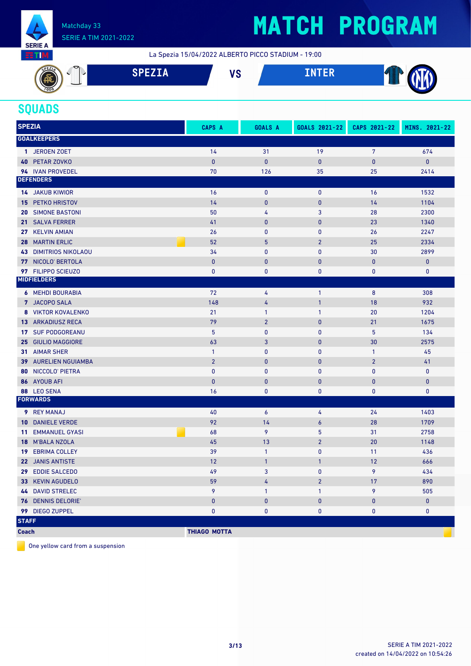

## **MATCH PROGRAM**

La Spezia 15/04/2022 ALBERTO PICCO STADIUM - 19:00



### **SQUADS**

| <b>SPEZIA</b> |                              | CAPS A              | <b>GOALS A</b> | GOALS 2021-22    | CAPS 2021-22   | MINS. 2021-22 |
|---------------|------------------------------|---------------------|----------------|------------------|----------------|---------------|
|               | <b>GOALKEEPERS</b>           |                     |                |                  |                |               |
|               | 1 JEROEN ZOET                | 14                  | 31             | 19               | 7              | 674           |
|               | 40 PETAR ZOVKO               | $\mathbf{0}$        | $\pmb{0}$      | $\mathbf{0}$     | 0              | $\pmb{0}$     |
|               | 94 IVAN PROVEDEL             | 70                  | 126            | 35               | 25             | 2414          |
|               | <b>DEFENDERS</b>             |                     |                |                  |                |               |
|               | <b>14 JAKUB KIWIOR</b>       | 16                  | $\bf{0}$       | $\mathbf 0$      | 16             | 1532          |
| 15.           | PETKO HRISTOV                | 14                  | $\mathbf{0}$   | $\mathbf{0}$     | 14             | 1104          |
| 20            | <b>SIMONE BASTONI</b>        | 50                  | 4              | 3                | 28             | 2300          |
|               | 21 SALVA FERRER              | 41                  | $\mathbf{0}$   | $\mathbf{0}$     | 23             | 1340          |
|               | 27 KELVIN AMIAN              | 26                  | $\mathbf{0}$   | $\mathbf 0$      | 26             | 2247          |
| 28            | <b>MARTIN ERLIC</b>          | 52                  | 5              | $\overline{2}$   | 25             | 2334          |
|               | <b>43 DIMITRIOS NIKOLAOU</b> | 34                  | $\mathbf{0}$   | $\mathbf 0$      | 30             | 2899          |
|               | 77 NICOLO' BERTOLA           | $\mathbf{0}$        | $\pmb{0}$      | $\mathbf{0}$     | 0              | $\mathbf{0}$  |
|               | 97 FILIPPO SCIEUZO           | $\mathbf{0}$        | 0              | $\mathbf 0$      | 0              | 0             |
|               | <b>MIDFIELDERS</b>           |                     |                |                  |                |               |
|               | <b>6 MEHDI BOURABIA</b>      | 72                  | 4              | $\mathbf{1}$     | 8              | 308           |
|               | 7 JACOPO SALA                | 148                 | 4              | $\mathbf{1}$     | 18             | 932           |
|               | 8 VIKTOR KOVALENKO           | 21                  | $\mathbf{1}$   | $\mathbf{1}$     | 20             | 1204          |
|               | <b>13 ARKADIUSZ RECA</b>     | 79                  | $\overline{2}$ | $\mathbf{0}$     | 21             | 1675          |
|               | 17 SUF PODGOREANU            | 5                   | $\mathbf{0}$   | $\pmb{0}$        | 5              | 134           |
|               | 25 GIULIO MAGGIORE           | 63                  | $\mathbf{3}$   | $\mathbf{0}$     | 30             | 2575          |
|               | 31 AIMAR SHER                | $\mathbf{1}$        | $\bf{0}$       | $\mathbf 0$      | 1              | 45            |
|               | 39 AURELIEN NGUIAMBA         | $\overline{2}$      | $\pmb{0}$      | $\mathbf{0}$     | $\overline{2}$ | 41            |
| 80            | NICCOLO' PIETRA              | $\mathbf{0}$        | $\bf{0}$       | $\mathbf 0$      | 0              | $\mathbf 0$   |
|               | 86 AYOUB AFI                 | $\mathbf{0}$        | $\mathbf{0}$   | $\mathbf{0}$     | 0              | $\pmb{0}$     |
|               | 88 LEO SENA                  | 16                  | $\mathbf{0}$   | $\mathbf 0$      | 0              | 0             |
|               | <b>FORWARDS</b>              |                     |                |                  |                |               |
|               | 9 REY MANAJ                  | 40                  | 6              | 4                | 24             | 1403          |
| 10            | <b>DANIELE VERDE</b>         | 92                  | 14             | $\boldsymbol{6}$ | 28             | 1709          |
| 11            | <b>EMMANUEL GYASI</b>        | 68                  | 9              | 5                | 31             | 2758          |
|               | 18 M'BALA NZOLA              | 45                  | 13             | $\overline{2}$   | 20             | 1148          |
| 19            | <b>EBRIMA COLLEY</b>         | 39                  | $\mathbf{1}$   | $\mathbf 0$      | 11             | 436           |
|               | 22 JANIS ANTISTE             | 12                  | $\mathbf{1}$   | $\mathbf{1}$     | 12             | 666           |
|               | 29 EDDIE SALCEDO             | 49                  | 3              | $\mathbf{0}$     | 9              | 434           |
|               | 33 KEVIN AGUDELO             | 59                  | 4              | $\overline{2}$   | 17             | 890           |
|               | <b>44 DAVID STRELEC</b>      | 9                   | $\mathbf{1}$   | 1                | 9              | 505           |
|               | 76 DENNIS DELORIE'           | $\pmb{0}$           | $\pmb{0}$      | $\pmb{0}$        | 0              | $\mathbf{0}$  |
|               | 99 DIEGO ZUPPEL              | $\mathbf{0}$        | $\pmb{0}$      | 0                | 0              | $\mathbf 0$   |
| <b>STAFF</b>  |                              |                     |                |                  |                |               |
| <b>Coach</b>  |                              | <b>THIAGO MOTTA</b> |                |                  |                |               |

One yellow card from a suspension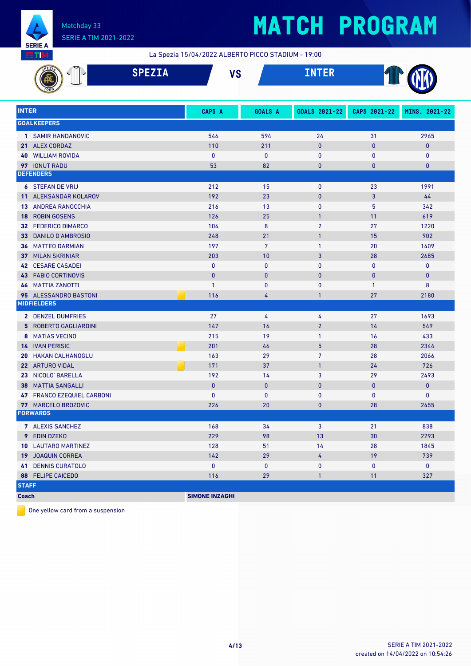

# **MATCH PROGRAM**

La Spezia 15/04/2022 ALBERTO PICCO STADIUM - 19:00

|              | <b>SPEZIA</b>                  |                       | <b>VS</b>       | <b>INTER</b>   |              |               |
|--------------|--------------------------------|-----------------------|-----------------|----------------|--------------|---------------|
| <b>INTER</b> |                                | CAPS A                | <b>GOALS A</b>  | GOALS 2021-22  | CAPS 2021-22 | MINS. 2021-22 |
|              | <b>GOALKEEPERS</b>             |                       |                 |                |              |               |
|              | 1 SAMIR HANDANOVIC             | 546                   | 594             | 24             | 31           | 2965          |
|              | 21 ALEX CORDAZ                 | 110                   | 211             | $\mathbf{0}$   | $\bf{0}$     | 0             |
|              | <b>40 WILLIAM ROVIDA</b>       | $\mathbf{0}$          | $\bf{0}$        | 0              | 0            | 0             |
|              | 97 IONUT RADU                  | 53                    | 82              | $\bf{0}$       | $\pmb{0}$    | 0             |
|              | <b>DEFENDERS</b>               |                       |                 |                |              |               |
|              | <b>6 STEFAN DE VRIJ</b>        | 212                   | 15              | $\mathbf 0$    | 23           | 1991          |
|              | 11 ALEKSANDAR KOLAROV          | 192                   | 23              | $\mathbf{0}$   | 3            | 44            |
|              | <b>13 ANDREA RANOCCHIA</b>     | 216                   | 13              | $\mathbf 0$    | 5            | 342           |
| 18           | <b>ROBIN GOSENS</b>            | 126                   | 25              | $\mathbf{1}$   | 11           | 619           |
| 32           | <b>FEDERICO DIMARCO</b>        | 104                   | 8               | $\overline{2}$ | 27           | 1220          |
| 33.          | DANILO D'AMBROSIO              | 248                   | 21              | $\mathbf{1}$   | 15           | 902           |
|              | <b>36 MATTEO DARMIAN</b>       | 197                   | $7\overline{ }$ | $\mathbf{1}$   | 20           | 1409          |
| 37           | <b>MILAN SKRINIAR</b>          | 203                   | 10              | 3              | 28           | 2685          |
|              | <b>42 CESARE CASADEI</b>       | $\mathbf{0}$          | $\mathbf{0}$    | $\mathbf{0}$   | $\mathbf{0}$ | 0             |
| 43           | <b>FABIO CORTINOVIS</b>        | $\mathbf{0}$          | $\mathbf{0}$    | $\mathbf{0}$   | $\bf{0}$     | $\mathbf{0}$  |
| 46           | <b>MATTIA ZANOTTI</b>          | $\mathbf{1}$          | $\bf{0}$        | 0              | $\mathbf{1}$ | 8             |
|              | 95 ALESSANDRO BASTONI          | 116                   | 4               | $\mathbf{1}$   | 27           | 2180          |
|              | <b>MIDFIELDERS</b>             |                       |                 |                |              |               |
|              | 2 DENZEL DUMFRIES              | 27                    | 4               | 4              | 27           | 1693          |
|              | <b>5 ROBERTO GAGLIARDINI</b>   | 147                   | 16              | 2 <sup>2</sup> | 14           | 549           |
|              | 8 MATIAS VECINO                | 215                   | 19              | $\mathbf{1}$   | 16           | 433           |
|              | <b>14 IVAN PERISIC</b>         | 201                   | 46              | 5 <sup>5</sup> | 28           | 2344          |
| 20           | <b>HAKAN CALHANOGLU</b>        | 163                   | 29              | 7              | 28           | 2066          |
|              | 22 ARTURO VIDAL                | 171                   | 37              | $\mathbf{1}$   | 24           | 726           |
| 23           | NICOLO' BARELLA                | 192                   | 14              | 3              | 29           | 2493          |
| 38           | <b>MATTIA SANGALLI</b>         | $\bf{0}$              | $\mathbf{0}$    | $\mathbf{0}$   | $\bf{0}$     | 0             |
| 47           | <b>FRANCO EZEQUIEL CARBONI</b> | $\mathbf{0}$          | $\pmb{0}$       | 0              | 0            | 0             |
|              | 77 MARCELO BROZOVIC            | 226                   | 20              | $\bf{0}$       | 28           | 2455          |
|              | <b>FORWARDS</b>                |                       |                 |                |              |               |
|              | 7 ALEXIS SANCHEZ               | 168                   | 34              | 3              | 21           | 838           |
|              | 9 EDIN DZEKO                   | 229                   | 98              | 13             | 30           | 2293          |
|              | <b>10 LAUTARO MARTINEZ</b>     | 128                   | 51              | 14             | 28           | 1845          |
|              | 19 JOAQUIN CORREA              | 142                   | 29              | 4              | 19           | 739           |
|              | <b>41 DENNIS CURATOLO</b>      | $\pmb{0}$             | $\pmb{0}$       | 0              | 0            | 0             |
|              | 88 FELIPE CAICEDO              | 116                   | 29              | $\mathbf{1}$   | 11           | 327           |
| <b>STAFF</b> |                                |                       |                 |                |              |               |
| <b>Coach</b> |                                | <b>SIMONE INZAGHI</b> |                 |                |              |               |

One yellow card from a suspension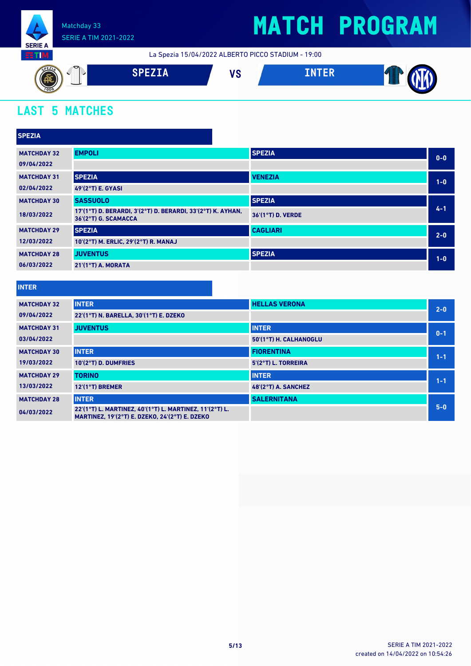

## **MATCH PROGRAM**

La Spezia 15/04/2022 ALBERTO PICCO STADIUM - 19:00



## **LAST 5 MATCHES**

| <b>SPEZIA</b>      |                                                                                     |                   |         |
|--------------------|-------------------------------------------------------------------------------------|-------------------|---------|
| <b>MATCHDAY 32</b> | <b>EMPOLI</b>                                                                       | <b>SPEZIA</b>     | $0-0$   |
| 09/04/2022         |                                                                                     |                   |         |
| <b>MATCHDAY 31</b> | <b>SPEZIA</b>                                                                       | <b>VENEZIA</b>    | $1-0$   |
| 02/04/2022         | 49'(2°T) E. GYASI                                                                   |                   |         |
| <b>MATCHDAY 30</b> | <b>SASSUOLO</b>                                                                     | <b>SPEZIA</b>     |         |
| 18/03/2022         | 17'(1°T) D. BERARDI, 3'(2°T) D. BERARDI, 33'(2°T) K. AYHAN,<br>36'(2°T) G. SCAMACCA | 36'(1°T) D. VERDE | $4 - 1$ |
| <b>MATCHDAY 29</b> | <b>SPEZIA</b>                                                                       | <b>CAGLIARI</b>   | $2 - 0$ |
| 12/03/2022         | 10'(2°T) M. ERLIC, 29'(2°T) R. MANAJ                                                |                   |         |
| <b>MATCHDAY 28</b> | <b>JUVENTUS</b>                                                                     | <b>SPEZIA</b>     | $1-0$   |
| 06/03/2022         | 21'(1°T) A. MORATA                                                                  |                   |         |

#### **INTER**

| <b>MATCHDAY 32</b> | <b>INTER</b>                                                                                              | <b>HELLAS VERONA</b>   | $2 - 0$ |
|--------------------|-----------------------------------------------------------------------------------------------------------|------------------------|---------|
| 09/04/2022         | 22'(1°T) N. BARELLA, 30'(1°T) E. DZEKO                                                                    |                        |         |
| <b>MATCHDAY 31</b> | <b>JUVENTUS</b>                                                                                           | <b>INTER</b>           | $0 - 1$ |
| 03/04/2022         |                                                                                                           | 50'(1°T) H. CALHANOGLU |         |
| <b>MATCHDAY 30</b> | <b>INTER</b>                                                                                              | <b>FIORENTINA</b>      | $1 - 1$ |
| 19/03/2022         | 10'(2°T) D. DUMFRIES                                                                                      | 5'(2°T) L. TORREIRA    |         |
| <b>MATCHDAY 29</b> | <b>TORINO</b>                                                                                             | <b>INTER</b>           | $1 - 1$ |
| 13/03/2022         | $12'(1°T)$ BREMER                                                                                         | 48'(2°T) A. SANCHEZ    |         |
| <b>MATCHDAY 28</b> | <b>INTER</b>                                                                                              | <b>SALERNITANA</b>     |         |
| 04/03/2022         | 22'(1°T) L. MARTINEZ, 40'(1°T) L. MARTINEZ, 11'(2°T) L.<br>MARTINEZ, 19'(2°T) E. DZEKO, 24'(2°T) E. DZEKO |                        | $5 - 0$ |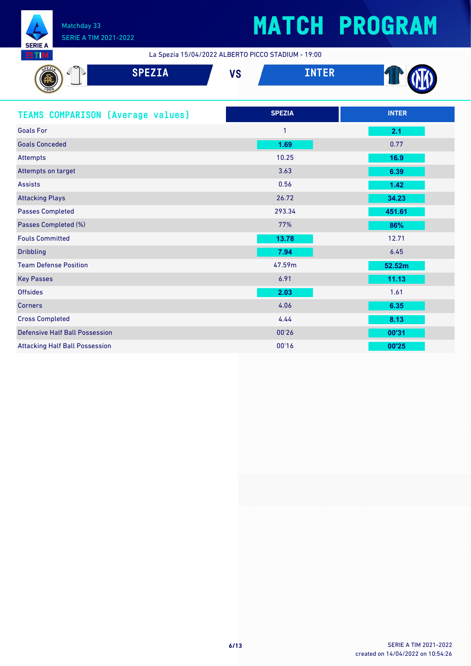

# **MATCH PROGRAM**

La Spezia 15/04/2022 ALBERTO PICCO STADIUM - 19:00

| ञ<br><b>SPEZIA</b>                       | <b>VS</b> | <b>INTER</b>  |              |
|------------------------------------------|-----------|---------------|--------------|
| <b>TEAMS COMPARISON (Average values)</b> |           | <b>SPEZIA</b> | <b>INTER</b> |
| <b>Goals For</b>                         |           |               | 2.1          |
| <b>Goals Conceded</b>                    |           | 1.69          | 0.77         |

| Attempts                              | 10.25  | 16.9   |
|---------------------------------------|--------|--------|
| Attempts on target                    | 3.63   | 6.39   |
| <b>Assists</b>                        | 0.56   | 1.42   |
| <b>Attacking Plays</b>                | 26.72  | 34.23  |
| <b>Passes Completed</b>               | 293.34 | 451.61 |
| Passes Completed (%)                  | 77%    | 86%    |
| <b>Fouls Committed</b>                | 13.78  | 12.71  |
| <b>Dribbling</b>                      | 7.94   | 6.45   |
| <b>Team Defense Position</b>          | 47.59m | 52.52m |
| <b>Key Passes</b>                     | 6.91   | 11.13  |
| <b>Offsides</b>                       | 2.03   | 1.61   |
| <b>Corners</b>                        | 4.06   | 6.35   |
| <b>Cross Completed</b>                | 4.44   | 8.13   |
| <b>Defensive Half Ball Possession</b> | 00'26  | 00'31  |
| <b>Attacking Half Ball Possession</b> | 00'16  | 00'25  |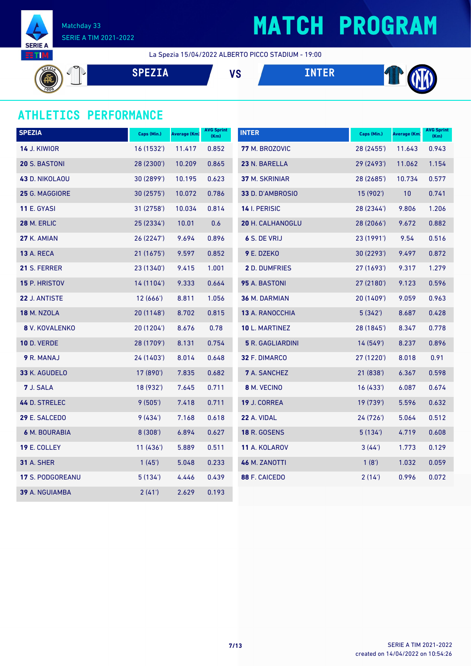

# **MATCH PROGRAM**

La Spezia 15/04/2022 ALBERTO PICCO STADIUM - 19:00

TO **SPEZIA VS INTER**

### **ATHLETICS PERFORMANCE**

| <b>SPEZIA</b>       | Caps (Min.) | Average (Km) | <b>AVG Sprint</b><br>(Km) | <b>INTER</b>            | Caps (Min.) | Average (Km) | <b>AVG Sprint</b><br>(Km) |
|---------------------|-------------|--------------|---------------------------|-------------------------|-------------|--------------|---------------------------|
| <b>14 J. KIWIOR</b> | 16 (1532')  | 11.417       | 0.852                     | 77 M. BROZOVIC          | 28 (2455')  | 11.643       | 0.943                     |
| 20 S. BASTONI       | 28 (2300')  | 10.209       | 0.865                     | 23 N. BARELLA           | 29 (2493')  | 11.062       | 1.154                     |
| 43 D. NIKOLAOU      | 30 (2899')  | 10.195       | 0.623                     | 37 M. SKRINIAR          | 28 (2685')  | 10.734       | 0.577                     |
| 25 G. MAGGIORE      | 30 (2575')  | 10.072       | 0.786                     | 33 D. D'AMBROSIO        | 15 (902')   | 10           | 0.741                     |
| <b>11 E. GYASI</b>  | 31 (2758')  | 10.034       | 0.814                     | 14 I. PERISIC           | 28 (2344')  | 9.806        | 1.206                     |
| <b>28 M. ERLIC</b>  | 25 (2334')  | 10.01        | 0.6                       | 20 H. CALHANOGLU        | 28 (2066')  | 9.672        | 0.882                     |
| 27 K. AMIAN         | 26(2247)    | 9.694        | 0.896                     | 6 S. DE VRIJ            | 23 (1991')  | 9.54         | 0.516                     |
| <b>13 A. RECA</b>   | 21 (1675')  | 9.597        | 0.852                     | 9 E. DZEKO              | 30 (2293')  | 9.497        | 0.872                     |
| 21 S. FERRER        | 23 (1340')  | 9.415        | 1.001                     | 2 D. DUMFRIES           | 27 (1693')  | 9.317        | 1.279                     |
| 15 P. HRISTOV       | 14 (1104')  | 9.333        | 0.664                     | 95 A. BASTONI           | 27 (2180')  | 9.123        | 0.596                     |
| 22 J. ANTISTE       | 12(666')    | 8.811        | 1.056                     | 36 M. DARMIAN           | 20 (1409')  | 9.059        | 0.963                     |
| <b>18 M. NZOLA</b>  | 20 (1148')  | 8.702        | 0.815                     | 13 A. RANOCCHIA         | 5(342)      | 8.687        | 0.428                     |
| 8 V. KOVALENKO      | 20 (1204')  | 8.676        | 0.78                      | 10 L. MARTINEZ          | 28 (1845')  | 8.347        | 0.778                     |
| <b>10 D. VERDE</b>  | 28 (1709')  | 8.131        | 0.754                     | <b>5 R. GAGLIARDINI</b> | 14(549)     | 8.237        | 0.896                     |
| 9 R. MANAJ          | 24 (1403')  | 8.014        | 0.648                     | 32 F. DIMARCO           | 27 (1220')  | 8.018        | 0.91                      |
| 33 K. AGUDELO       | 17 (890')   | 7.835        | 0.682                     | <b>7</b> A. SANCHEZ     | 21 (838')   | 6.367        | 0.598                     |
| 7 J. SALA           | 18 (932')   | 7.645        | 0.711                     | 8 M. VECINO             | 16(433)     | 6.087        | 0.674                     |
| 44 D. STRELEC       | 9(505)      | 7.418        | 0.711                     | 19 J. CORREA            | 19 (739')   | 5.596        | 0.632                     |
| 29 E. SALCEDO       | 9(434)      | 7.168        | 0.618                     | 22 A. VIDAL             | 24 (726')   | 5.064        | 0.512                     |
| 6 M. BOURABIA       | 8 (308')    | 6.894        | 0.627                     | <b>18 R. GOSENS</b>     | 5(134)      | 4.719        | 0.608                     |
| 19 E. COLLEY        | 11(436)     | 5.889        | 0.511                     | 11 A. KOLAROV           | 3(44)       | 1.773        | 0.129                     |
| <b>31 A. SHER</b>   | 1(45)       | 5.048        | 0.233                     | 46 M. ZANOTTI           | 1(8')       | 1.032        | 0.059                     |
| 17 S. PODGOREANU    | 5(134)      | 4.446        | 0.439                     | 88 F. CAICEDO           | 2(14)       | 0.996        | 0.072                     |
| 39 A. NGUIAMBA      | 2(41)       | 2.629        | 0.193                     |                         |             |              |                           |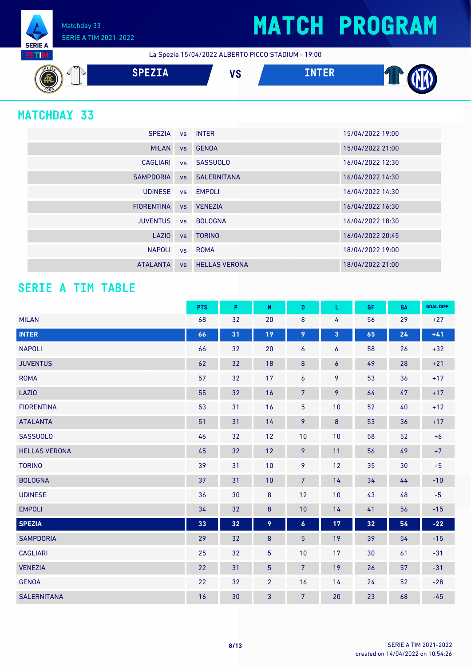## **MATCH PROGRAM**

Matchday 33 SERIE A TIM 2021-2022

La Spezia 15/04/2022 ALBERTO PICCO STADIUM - 19:00



### **MATCHDAY 33**

**SERIE A RTM** 

| <b>SPEZIA</b>     |           | vs INTER              | 15/04/2022 19:00 |
|-------------------|-----------|-----------------------|------------------|
| <b>MILAN</b>      |           | vs GENOA              | 15/04/2022 21:00 |
| CAGLIARI          |           | vs SASSUOLO           | 16/04/2022 12:30 |
| <b>SAMPDORIA</b>  |           | <b>vs</b> SALERNITANA | 16/04/2022 14:30 |
| <b>UDINESE</b>    |           | vs EMPOLI             | 16/04/2022 14:30 |
| <b>FIORENTINA</b> | <b>VS</b> | <b>VENEZIA</b>        | 16/04/2022 16:30 |
| <b>JUVENTUS</b>   |           | ys BOLOGNA            | 16/04/2022 18:30 |
| LAZIO             | <b>VS</b> | <b>TORINO</b>         | 16/04/2022 20:45 |
| <b>NAPOLI</b>     |           | vs ROMA               | 18/04/2022 19:00 |
| <b>ATALANTA</b>   | <b>VS</b> | <b>HELLAS VERONA</b>  | 18/04/2022 21:00 |

### **SERIE A TIM TABLE**

|                      | <b>PTS</b> | P  | W               | D                | L                | <b>GF</b> | GA | <b>GOAL DIFF.</b> |
|----------------------|------------|----|-----------------|------------------|------------------|-----------|----|-------------------|
| <b>MILAN</b>         | 68         | 32 | 20              | $\bf 8$          | 4                | 56        | 29 | $+27$             |
| <b>INTER</b>         | 66         | 31 | 19              | 9                | 3                | 65        | 24 | $+41$             |
| <b>NAPOLI</b>        | 66         | 32 | 20              | 6                | 6                | 58        | 26 | $+32$             |
| <b>JUVENTUS</b>      | 62         | 32 | 18              | 8                | $\boldsymbol{6}$ | 49        | 28 | $+21$             |
| <b>ROMA</b>          | 57         | 32 | 17              | 6                | 9                | 53        | 36 | $+17$             |
| <b>LAZIO</b>         | 55         | 32 | 16              | $\overline{7}$   | 9                | 64        | 47 | $+17$             |
| <b>FIORENTINA</b>    | 53         | 31 | 16              | $\overline{5}$   | 10               | 52        | 40 | $+12$             |
| <b>ATALANTA</b>      | 51         | 31 | 14              | 9                | $\bf 8$          | 53        | 36 | $+17$             |
| <b>SASSUOLO</b>      | 46         | 32 | 12              | 10               | 10               | 58        | 52 | $+6$              |
| <b>HELLAS VERONA</b> | 45         | 32 | 12              | 9                | 11               | 56        | 49 | $+7$              |
| <b>TORINO</b>        | 39         | 31 | 10              | 9                | 12               | 35        | 30 | $+5$              |
| <b>BOLOGNA</b>       | 37         | 31 | 10              | $7\phantom{.}$   | 14               | 34        | 44 | $-10$             |
| <b>UDINESE</b>       | 36         | 30 | $\bf 8$         | 12               | 10               | 43        | 48 | $-5$              |
| <b>EMPOLI</b>        | 34         | 32 | $\bf 8$         | 10               | 14               | 41        | 56 | $-15$             |
| <b>SPEZIA</b>        | 33         | 32 | 9               | $\boldsymbol{6}$ | 17               | 32        | 54 | $-22$             |
| <b>SAMPDORIA</b>     | 29         | 32 | $\bf 8$         | $\overline{5}$   | 19               | 39        | 54 | $-15$             |
| <b>CAGLIARI</b>      | 25         | 32 | $\overline{5}$  | 10               | 17               | 30        | 61 | $-31$             |
| <b>VENEZIA</b>       | 22         | 31 | $5\phantom{.0}$ | $7\overline{ }$  | 19               | 26        | 57 | $-31$             |
| <b>GENOA</b>         | 22         | 32 | $\overline{2}$  | 16               | 14               | 24        | 52 | $-28$             |
| <b>SALERNITANA</b>   | 16         | 30 | 3               | $\overline{7}$   | 20               | 23        | 68 | $-45$             |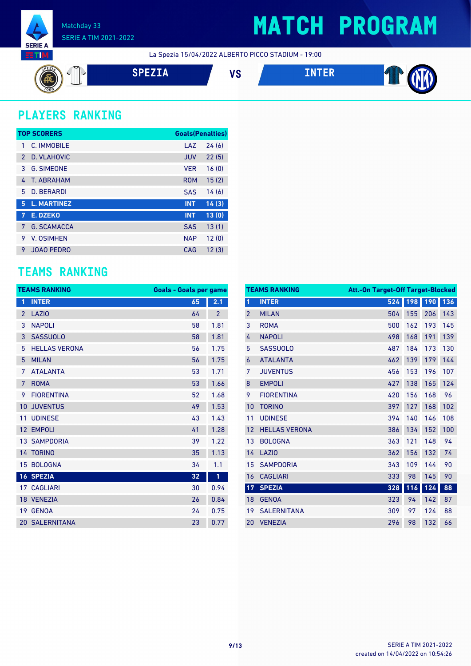

## **MATCH PROGRAM**

La Spezia 15/04/2022 ALBERTO PICCO STADIUM - 19:00







### **PLAYERS RANKING**

|               | <b>TOP SCORERS</b> | <b>Goals(Penalties)</b> |       |
|---------------|--------------------|-------------------------|-------|
| 1             | C. IMMOBILE        | LAZ                     | 24(6) |
| $\mathcal{P}$ | D. VLAHOVIC        | <b>JUV</b>              | 22(5) |
| 3             | <b>G. SIMEONE</b>  | <b>VER</b>              | 16(0) |
| 4             | T. ABRAHAM         | <b>ROM</b>              | 15(2) |
| 5.            | <b>D. BERARDI</b>  | <b>SAS</b>              | 14(6) |
| 5             | <b>L. MARTINEZ</b> | <b>INT</b>              | 14(3) |
| 7             | E. DZEKO           | <b>INT</b>              | 13(0) |
| 7             | <b>G. SCAMACCA</b> | <b>SAS</b>              | 13(1) |
| 9             | V. OSIMHEN         | <b>NAP</b>              | 12(0) |
| 9             | <b>JOAO PEDRO</b>  | CAG                     | 12(3) |

### **TEAMS RANKING**

| <b>TEAMS RANKING</b> |                       | <b>Goals - Goals per game</b> |                |
|----------------------|-----------------------|-------------------------------|----------------|
| 1                    | <b>INTER</b>          | 65                            | 2.1            |
| $\overline{2}$       | LAZI <sub>0</sub>     | 64                            | $\overline{2}$ |
| 3                    | <b>NAPOLI</b>         | 58                            | 1.81           |
| 3                    | <b>SASSUOLO</b>       | 58                            | 1.81           |
| 5                    | <b>HELLAS VERONA</b>  | 56                            | 1.75           |
| 5                    | <b>MILAN</b>          | 56                            | 1.75           |
| 7                    | <b>ATALANTA</b>       | 53                            | 1.71           |
| 7                    | <b>ROMA</b>           | 53                            | 1.66           |
| 9                    | <b>FIORENTINA</b>     | 52                            | 1.68           |
| 10                   | <b>JUVENTUS</b>       | 49                            | 1.53           |
| 11                   | <b>UDINESE</b>        | 43                            | 1.43           |
| 12                   | <b>EMPOLI</b>         | 41                            | 1.28           |
|                      | <b>13 SAMPDORIA</b>   | 39                            | 1.22           |
|                      | 14 TORINO             | 35                            | 1.13           |
| 15                   | <b>BOLOGNA</b>        | 34                            | 1.1            |
|                      | <b>16 SPEZIA</b>      | 32                            | 1              |
|                      | <b>17 CAGLIARI</b>    | 30                            | 0.94           |
|                      | 18 VENEZIA            | 26                            | 0.84           |
| 19                   | <b>GENOA</b>          | 24                            | 0.75           |
|                      | <b>20 SALERNITANA</b> | 23                            | 0.77           |

| <b>TEAMS RANKING</b><br><b>Att.-On Target-Off Target-Blocked</b> |                      |     |     |     |     |
|------------------------------------------------------------------|----------------------|-----|-----|-----|-----|
| $\mathbf{1}$                                                     | <b>INTER</b>         | 524 | 198 | 190 | 136 |
| $\overline{2}$                                                   | <b>MILAN</b>         | 504 | 155 | 206 | 143 |
| 3                                                                | <b>ROMA</b>          | 500 | 162 | 193 | 145 |
| 4                                                                | <b>NAPOLI</b>        | 498 | 168 | 191 | 139 |
| 5                                                                | <b>SASSUOLO</b>      | 487 | 184 | 173 | 130 |
| 6                                                                | <b>ATALANTA</b>      | 462 | 139 | 179 | 144 |
| 7                                                                | <b>JUVENTUS</b>      | 456 | 153 | 196 | 107 |
| 8                                                                | <b>EMPOLI</b>        | 427 | 138 | 165 | 124 |
| 9                                                                | <b>FIORENTINA</b>    | 420 | 156 | 168 | 96  |
| 10                                                               | <b>TORINO</b>        | 397 | 127 | 168 | 102 |
| 11                                                               | <b>UDINESE</b>       | 394 | 140 | 146 | 108 |
| 12                                                               | <b>HELLAS VERONA</b> | 386 | 134 | 152 | 100 |
| 13                                                               | <b>BOLOGNA</b>       | 363 | 121 | 148 | 94  |
| 14                                                               | <b>LAZIO</b>         | 362 | 156 | 132 | 74  |
| 15                                                               | <b>SAMPDORIA</b>     | 343 | 109 | 144 | 90  |
| 16                                                               | <b>CAGLIARI</b>      | 333 | 98  | 145 | 90  |
| 17                                                               | <b>SPEZIA</b>        | 328 | 116 | 124 | 88  |
| 18                                                               | <b>GENOA</b>         | 323 | 94  | 142 | 87  |
| 19                                                               | <b>SALERNITANA</b>   | 309 | 97  | 124 | 88  |
| 20                                                               | <b>VENEZIA</b>       | 296 | 98  | 132 | 66  |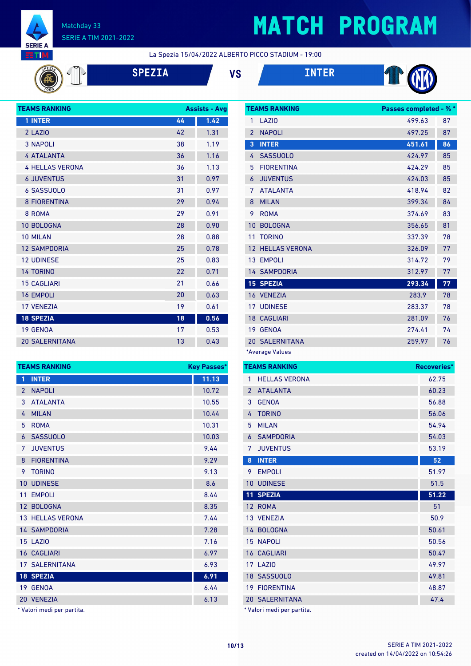

# **MATCH PROGRAM**

La Spezia 15/04/2022 ALBERTO PICCO STADIUM - 19:00







**TEAMS RANKING Passes completed - % \***



| <b>TEAMS RANKING</b>   |    | <b>Assists - Avg</b> |
|------------------------|----|----------------------|
| 1 INTER                | 44 | 1.42                 |
| 2 LAZIO                | 42 | 1.31                 |
| <b>3 NAPOLI</b>        | 38 | 1.19                 |
| <b>4 ATALANTA</b>      | 36 | 1.16                 |
| <b>4 HELLAS VERONA</b> | 36 | 1.13                 |
| <b>6 JUVENTUS</b>      | 31 | 0.97                 |
| <b>6 SASSUOLO</b>      | 31 | 0.97                 |
| <b>8 FIORENTINA</b>    | 29 | 0.94                 |
| 8 ROMA                 | 29 | 0.91                 |
| <b>10 BOLOGNA</b>      | 28 | 0.90                 |
| <b>10 MILAN</b>        | 28 | 0.88                 |
| <b>12 SAMPDORIA</b>    | 25 | 0.78                 |
| <b>12 UDINESE</b>      | 25 | 0.83                 |
| <b>14 TORINO</b>       | 22 | 0.71                 |
| <b>15 CAGLIARI</b>     | 21 | 0.66                 |
| <b>16 EMPOLI</b>       | 20 | 0.63                 |
| <b>17 VENEZIA</b>      | 19 | 0.61                 |
| <b>18 SPEZIA</b>       | 18 | 0.56                 |
| 19 GENOA               | 17 | 0.53                 |
| <b>20 SALERNITANA</b>  | 13 | 0.43                 |

| <b>TEAMS RANKING</b><br><b>Key Passes*</b> |                         |       |
|--------------------------------------------|-------------------------|-------|
| 1                                          | <b>INTER</b>            | 11.13 |
| $\overline{2}$                             | <b>NAPOLI</b>           | 10.72 |
| 3                                          | <b>ATALANTA</b>         | 10.55 |
| 4                                          | <b>MILAN</b>            | 10.44 |
| 5                                          | <b>ROMA</b>             | 10.31 |
| 6                                          | <b>SASSUOLO</b>         | 10.03 |
| 7                                          | <b>JUVENTUS</b>         | 9.44  |
| 8                                          | <b>FIORENTINA</b>       | 9.29  |
| 9                                          | <b>TORINO</b>           | 9.13  |
| 10                                         | <b>UDINESE</b>          | 8.6   |
| 11                                         | <b>EMPOLI</b>           | 8.44  |
|                                            | 12 BOLOGNA              | 8.35  |
|                                            | <b>13 HELLAS VERONA</b> | 7.44  |
|                                            | <b>14 SAMPDORIA</b>     | 7.28  |
|                                            | 15 LAZIO                | 7.16  |
|                                            | <b>16 CAGLIARI</b>      | 6.97  |
|                                            | <b>17 SALERNITANA</b>   | 6.93  |
|                                            | <b>18 SPEZIA</b>        | 6.91  |
|                                            | 19 GENOA                | 6.44  |
|                                            | 20 VENEZIA              | 6.13  |

\* Valori medi per partita.

| 1              | <b>LA710</b>            | 499.63 | 87 |
|----------------|-------------------------|--------|----|
| $\overline{2}$ | <b>NAPOLI</b>           | 497.25 | 87 |
| 3              | <b>INTER</b>            | 451.61 | 86 |
| 4              | <b>SASSUOLO</b>         | 424.97 | 85 |
| 5              | <b>FIORENTINA</b>       | 424.29 | 85 |
| 6              | <b>JUVENTUS</b>         | 424.03 | 85 |
| 7              | <b>ATALANTA</b>         | 418.94 | 82 |
| 8              | <b>MILAN</b>            | 399.34 | 84 |
| 9              | <b>ROMA</b>             | 374.69 | 83 |
| 10             | <b>BOLOGNA</b>          | 356.65 | 81 |
| 11             | <b>TORINO</b>           | 337.39 | 78 |
|                | <b>12 HELLAS VERONA</b> | 326.09 | 77 |
|                | 13 EMPOLI               | 314.72 | 79 |
|                | <b>14 SAMPDORIA</b>     | 312.97 | 77 |
|                | <b>15 SPEZIA</b>        | 293.34 | 77 |
|                | 16 VENEZIA              | 283.9  | 78 |
|                | <b>17 UDINESE</b>       | 283.37 | 78 |
|                | <b>18 CAGLIARI</b>      | 281.09 | 76 |
|                | 19 GENOA                | 274.41 | 74 |
|                | <b>20 SALERNITANA</b>   | 259.97 | 76 |
|                | *Average Values         |        |    |

| <b>TEAMS RANKING</b> | Recoveries*                |       |
|----------------------|----------------------------|-------|
| $\mathbf{1}$         | <b>HELLAS VERONA</b>       | 62.75 |
| $\overline{2}$       | <b>ATALANTA</b>            | 60.23 |
| 3                    | <b>GENOA</b>               | 56.88 |
| 4                    | <b>TORINO</b>              | 56.06 |
| 5                    | <b>MILAN</b>               | 54.94 |
| 6                    | <b>SAMPDORIA</b>           | 54.03 |
| 7                    | <b>JUVENTUS</b>            | 53.19 |
| 8                    | <b>INTER</b>               | 52    |
| 9                    | <b>EMPOLI</b>              | 51.97 |
| 10                   | <b>UDINESE</b>             | 51.5  |
|                      | <b>11 SPEZIA</b>           | 51.22 |
|                      | 12 ROMA                    | 51    |
|                      | 13 VENEZIA                 | 50.9  |
|                      | 14 BOLOGNA                 | 50.61 |
|                      | <b>15 NAPOLI</b>           | 50.56 |
|                      | <b>16 CAGLIARI</b>         | 50.47 |
|                      | <b>17 LAZIO</b>            | 49.97 |
|                      | 18 SASSUOLO                | 49.81 |
|                      | <b>19 FIORENTINA</b>       | 48.87 |
|                      | <b>20 SALERNITANA</b>      | 47.4  |
|                      | * Valori medi per partita. |       |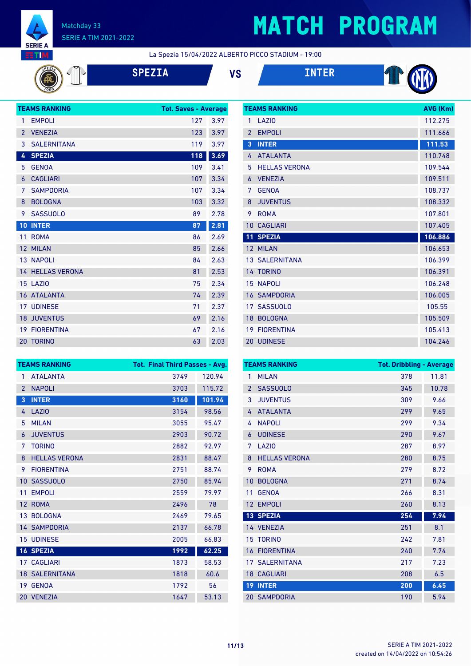

# **MATCH PROGRAM**

**TEAMS RANKING AVG (Km)** 

La Spezia 15/04/2022 ALBERTO PICCO STADIUM - 19:00

**SPEZIA VS INTER**





| <b>TEAMS RANKING</b><br><b>Tot. Saves - Average</b> |                         |     |      |
|-----------------------------------------------------|-------------------------|-----|------|
| 1                                                   | <b>EMPOLI</b>           | 127 | 3.97 |
| $\overline{2}$                                      | <b>VENEZIA</b>          | 123 | 3.97 |
| 3                                                   | <b>SALERNITANA</b>      | 119 | 3.97 |
| 4                                                   | <b>SPEZIA</b>           | 118 | 3.69 |
| 5                                                   | <b>GENOA</b>            | 109 | 3.41 |
| 6                                                   | <b>CAGLIARI</b>         | 107 | 3.34 |
| 7                                                   | <b>SAMPDORIA</b>        | 107 | 3.34 |
| 8                                                   | <b>BOLOGNA</b>          | 103 | 3.32 |
| 9                                                   | <b>SASSUOLO</b>         | 89  | 2.78 |
| 10                                                  | <b>INTER</b>            | 87  | 2.81 |
| 11                                                  | <b>ROMA</b>             | 86  | 2.69 |
| 12 <sup>2</sup>                                     | <b>MILAN</b>            | 85  | 2.66 |
|                                                     | <b>13 NAPOLI</b>        | 84  | 2.63 |
|                                                     | <b>14 HELLAS VERONA</b> | 81  | 2.53 |
|                                                     | 15 LAZIO                | 75  | 2.34 |
|                                                     | <b>16 ATALANTA</b>      | 74  | 2.39 |
|                                                     | <b>17 UDINESE</b>       | 71  | 2.37 |
| 18                                                  | <b>JUVENTUS</b>         | 69  | 2.16 |
| 19                                                  | <b>FIORENTINA</b>       | 67  | 2.16 |
|                                                     |                         |     |      |

| 1               | <b>LA710</b>          | 112.275 |
|-----------------|-----------------------|---------|
| $\overline{2}$  | <b>EMPOLI</b>         | 111.666 |
| 3               | <b>INTER</b>          | 111.53  |
| 4               | <b>ATALANTA</b>       | 110.748 |
| 5               | <b>HELLAS VERONA</b>  | 109.544 |
| 6               | <b>VENEZIA</b>        | 109.511 |
| 7               | <b>GENOA</b>          | 108.737 |
| 8               | <b>JUVENTUS</b>       | 108.332 |
| 9               | <b>ROMA</b>           | 107.801 |
| 10              | <b>CAGLIARI</b>       | 107.405 |
|                 |                       |         |
| 11              | <b>SPEZIA</b>         | 106.886 |
| 12 <sup>2</sup> | <b>MILAN</b>          | 106.653 |
|                 | <b>13 SALERNITANA</b> | 106.399 |
|                 | 14 TORINO             | 106.391 |
| 15              | <b>NAPOLI</b>         | 106.248 |
| 16              | <b>SAMPDORIA</b>      | 106.005 |
| 17 <sup>1</sup> | <b>SASSUOLO</b>       | 105.55  |
| 18              | <b>BOLOGNA</b>        | 105.509 |
| 19              | <b>FIORENTINA</b>     | 105.413 |

|                 | <b>TEAMS RANKING</b>  | <b>Tot. Final Third Passes - Avg.</b> |        |
|-----------------|-----------------------|---------------------------------------|--------|
| 1               | <b>ATALANTA</b>       | 3749                                  | 120.94 |
| $\overline{2}$  | <b>NAPOLI</b>         | 3703                                  | 115.72 |
| 3               | <b>INTER</b>          | 3160                                  | 101.94 |
| 4               | LAZIO                 | 3154                                  | 98.56  |
| 5               | <b>MILAN</b>          | 3055                                  | 95.47  |
| 6               | <b>JUVENTUS</b>       | 2903                                  | 90.72  |
| 7               | <b>TORINO</b>         | 2882                                  | 92.97  |
| 8               | <b>HELLAS VERONA</b>  | 2831                                  | 88.47  |
| 9               | <b>FIORENTINA</b>     | 2751                                  | 88.74  |
| 10              | <b>SASSUOLO</b>       | 2750                                  | 85.94  |
| 11              | <b>EMPOLI</b>         | 2559                                  | 79.97  |
| 12 <sup>2</sup> | <b>ROMA</b>           | 2496                                  | 78     |
|                 | 13 BOLOGNA            | 2469                                  | 79.65  |
|                 | <b>14 SAMPDORIA</b>   | 2137                                  | 66.78  |
|                 | <b>15 UDINESE</b>     | 2005                                  | 66.83  |
|                 | <b>16 SPEZIA</b>      | 1992                                  | 62.25  |
|                 | <b>17 CAGLIARI</b>    | 1873                                  | 58.53  |
|                 | <b>18 SALERNITANA</b> | 1818                                  | 60.6   |
| 19              | <b>GENOA</b>          | 1792                                  | 56     |
|                 | 20 VENEZIA            | 1647                                  | 53.13  |

|                | <b>TEAMS RANKING</b>  | <b>Tot. Dribbling - Average</b> |       |
|----------------|-----------------------|---------------------------------|-------|
| 1              | <b>MILAN</b>          | 378                             | 11.81 |
| $\overline{2}$ | <b>SASSUOLO</b>       | 345                             | 10.78 |
| 3              | <b>JUVENTUS</b>       | 309                             | 9.66  |
| 4              | <b>ATALANTA</b>       | 299                             | 9.65  |
| 4              | <b>NAPOLI</b>         | 299                             | 9.34  |
| 6              | <b>UDINESE</b>        | 290                             | 9.67  |
| 7              | LAZI <sub>0</sub>     | 287                             | 8.97  |
| 8              | <b>HELLAS VERONA</b>  | 280                             | 8.75  |
| 9              | <b>ROMA</b>           | 279                             | 8.72  |
| 10             | <b>BOLOGNA</b>        | 271                             | 8.74  |
| 11             | <b>GENOA</b>          | 266                             | 8.31  |
| 12             | <b>EMPOLI</b>         | 260                             | 8.13  |
|                | 13 SPEZIA             | 254                             | 7.94  |
|                | 14 VENEZIA            | 251                             | 8.1   |
|                | <b>15 TORINO</b>      | 242                             | 7.81  |
| 16             | <b>FIORENTINA</b>     | 240                             | 7.74  |
|                | <b>17 SALERNITANA</b> | 217                             | 7.23  |
|                | <b>18 CAGLIARI</b>    | 208                             | 6.5   |
| 19             | <b>INTER</b>          | 200                             | 6.45  |
|                | <b>20 SAMPDORIA</b>   | 190                             | 5.94  |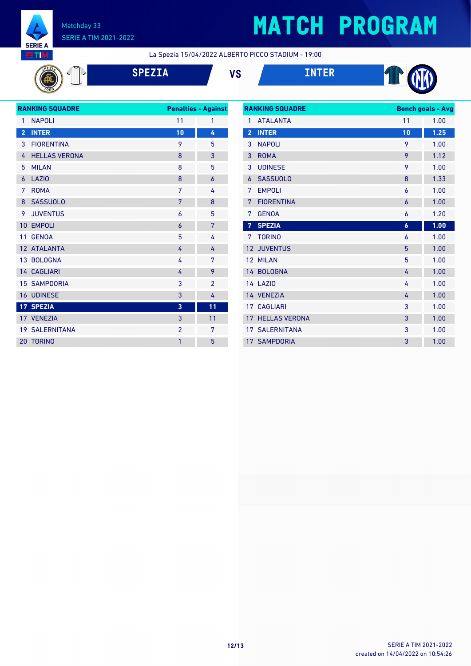

# **MATCH PROGRAM**

La Spezia 15/04/2022 ALBERTO PICCO STADIUM - 19:00

$$
\mathbb{P}^{\mathbb{Z}}
$$

**SPEZIA VS INTER**





| <b>RANKING SQUADRE</b><br><b>Penalties - Against</b> |                       |                |                |
|------------------------------------------------------|-----------------------|----------------|----------------|
| 1                                                    | <b>NAPOLI</b>         | 11             | 1              |
| $\overline{2}$                                       | <b>INTER</b>          | 10             | 4              |
| 3                                                    | <b>FIORENTINA</b>     | 9              | 5              |
| 4                                                    | <b>HELLAS VERONA</b>  | 8              | 3              |
| 5                                                    | <b>MILAN</b>          | 8              | 5              |
| 6                                                    | <b>LAZIO</b>          | 8              | 6              |
| 7                                                    | <b>ROMA</b>           | 7              | 4              |
| 8                                                    | <b>SASSUOLO</b>       | 7              | 8              |
| 9                                                    | <b>JUVENTUS</b>       | 6              | 5              |
| 10                                                   | <b>EMPOLI</b>         | 6              | 7              |
| 11                                                   | <b>GENOA</b>          | 5              | 4              |
|                                                      | 12 ATALANTA           | 4              | 4              |
|                                                      | 13 BOLOGNA            | 4              | 7              |
|                                                      | 14 CAGLIARI           | 4              | 9              |
|                                                      | <b>15 SAMPDORIA</b>   | 3              | $\overline{2}$ |
|                                                      | 16 UDINESE            | 3              | 4              |
|                                                      | 17 SPEZIA             | 3              | 11             |
|                                                      | 17 VENEZIA            | 3              | 11             |
|                                                      | <b>19 SALERNITANA</b> | $\overline{2}$ | 7              |
| 20                                                   | <b>TORINO</b>         | 1              | 5              |
|                                                      |                       |                |                |

| <b>RANKING SQUADRE</b> |                       |                  | <b>Bench goals - Avg</b> |  |
|------------------------|-----------------------|------------------|--------------------------|--|
| 1                      | <b>ATALANTA</b>       | 11               | 1.00                     |  |
| $\overline{2}$         | <b>INTER</b>          | 10               | 1.25                     |  |
| 3                      | <b>NAPOLI</b>         | 9                | 1.00                     |  |
| 3                      | <b>ROMA</b>           | 9                | 1.12                     |  |
| 3                      | <b>UDINESE</b>        | 9                | 1.00                     |  |
| 6                      | <b>SASSUOLO</b>       | 8                | 1.33                     |  |
| 7                      | <b>EMPOLI</b>         | 6                | 1.00                     |  |
| 7                      | <b>FIORENTINA</b>     | $\overline{6}$   | 1.00                     |  |
| 7                      | <b>GENOA</b>          | 6                | 1.20                     |  |
| 7                      | <b>SPEZIA</b>         | $\boldsymbol{6}$ | 1.00                     |  |
| 7                      | <b>TORINO</b>         | 6                | 1.00                     |  |
| 12                     | <b>JUVENTUS</b>       | 5                | 1.00                     |  |
| 12                     | <b>MILAN</b>          | 5                | 1.00                     |  |
| 14                     | <b>BOLOGNA</b>        | 4                | 1.00                     |  |
|                        | <b>14 LAZIO</b>       | 4                | 1.00                     |  |
| 14                     | <b>VENEZIA</b>        | 4                | 1.00                     |  |
| 17 <sup>1</sup>        | <b>CAGLIARI</b>       | 3                | 1.00                     |  |
| 17                     | <b>HELLAS VERONA</b>  | 3                | 1.00                     |  |
|                        | <b>17 SALERNITANA</b> | 3                | 1.00                     |  |
|                        | <b>17 SAMPDORIA</b>   | 3                | 1.00                     |  |